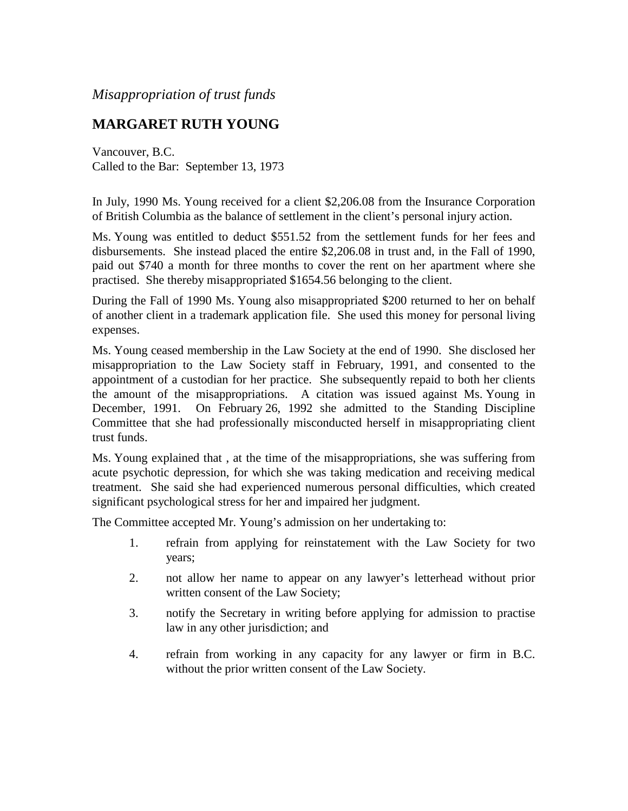*Misappropriation of trust funds*

## **MARGARET RUTH YOUNG**

Vancouver, B.C. Called to the Bar: September 13, 1973

In July, 1990 Ms. Young received for a client \$2,206.08 from the Insurance Corporation of British Columbia as the balance of settlement in the client's personal injury action.

Ms. Young was entitled to deduct \$551.52 from the settlement funds for her fees and disbursements. She instead placed the entire \$2,206.08 in trust and, in the Fall of 1990, paid out \$740 a month for three months to cover the rent on her apartment where she practised. She thereby misappropriated \$1654.56 belonging to the client.

During the Fall of 1990 Ms. Young also misappropriated \$200 returned to her on behalf of another client in a trademark application file. She used this money for personal living expenses.

Ms. Young ceased membership in the Law Society at the end of 1990. She disclosed her misappropriation to the Law Society staff in February, 1991, and consented to the appointment of a custodian for her practice. She subsequently repaid to both her clients the amount of the misappropriations. A citation was issued against Ms. Young in December, 1991. On February 26, 1992 she admitted to the Standing Discipline Committee that she had professionally misconducted herself in misappropriating client trust funds.

Ms. Young explained that , at the time of the misappropriations, she was suffering from acute psychotic depression, for which she was taking medication and receiving medical treatment. She said she had experienced numerous personal difficulties, which created significant psychological stress for her and impaired her judgment.

The Committee accepted Mr. Young's admission on her undertaking to:

- 1. refrain from applying for reinstatement with the Law Society for two years;
- 2. not allow her name to appear on any lawyer's letterhead without prior written consent of the Law Society;
- 3. notify the Secretary in writing before applying for admission to practise law in any other jurisdiction; and
- 4. refrain from working in any capacity for any lawyer or firm in B.C. without the prior written consent of the Law Society.